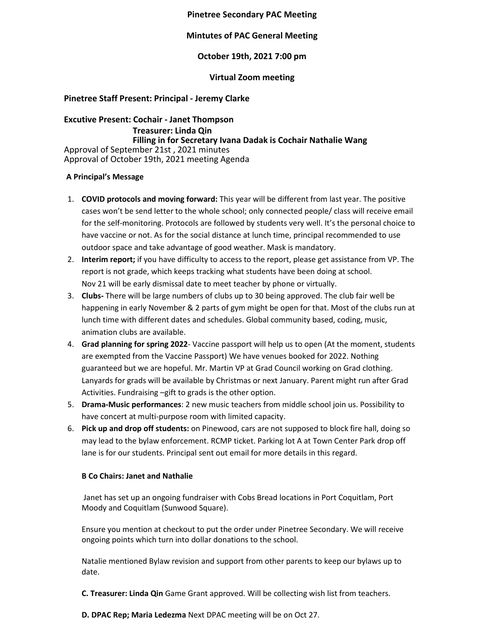# **Pinetree Secondary PAC Meeting**

# **Mintutes of PAC General Meeting**

# **October 19th, 2021 7:00 pm**

### **Virtual Zoom meeting**

# **Pinetree Staff Present: Principal - Jeremy Clarke**

**Excutive Present: Cochair - Janet Thompson Treasurer: Linda Qin Filling in for Secretary Ivana Dadak is Cochair Nathalie Wang** Approval of September 21st , 2021 minutes Approval of October 19th, 2021 meeting Agenda

### **A Principal's Message**

- 1. **COVID protocols and moving forward:** This year will be different from last year. The positive cases won't be send letter to the whole school; only connected people/ class will receive email for the self-monitoring. Protocols are followed by students very well. It's the personal choice to have vaccine or not. As for the social distance at lunch time, principal recommended to use outdoor space and take advantage of good weather. Mask is mandatory.
- 2. **Interim report;** if you have difficulty to access to the report, please get assistance from VP. The report is not grade, which keeps tracking what students have been doing at school. Nov 21 will be early dismissal date to meet teacher by phone or virtually.
- 3. **Clubs-** There will be large numbers of clubs up to 30 being approved. The club fair well be happening in early November & 2 parts of gym might be open for that. Most of the clubs run at lunch time with different dates and schedules. Global community based, coding, music, animation clubs are available.
- 4. **Grad planning for spring 2022** Vaccine passport will help us to open (At the moment, students are exempted from the Vaccine Passport) We have venues booked for 2022. Nothing guaranteed but we are hopeful. Mr. Martin VP at Grad Council working on Grad clothing. Lanyards for grads will be available by Christmas or next January. Parent might run after Grad Activities. Fundraising –gift to grads is the other option.
- 5. **Drama-Music performances**: 2 new music teachers from middle school join us. Possibility to have concert at multi-purpose room with limited capacity.
- 6. **Pick up and drop off students:** on Pinewood, cars are not supposed to block fire hall, doing so may lead to the bylaw enforcement. RCMP ticket. Parking lot A at Town Center Park drop off lane is for our students. Principal sent out email for more details in this regard.

### **B Co Chairs: Janet and Nathalie**

Janet has set up an ongoing fundraiser with Cobs Bread locations in Port Coquitlam, Port Moody and Coquitlam (Sunwood Square).

Ensure you mention at checkout to put the order under Pinetree Secondary. We will receive ongoing points which turn into dollar donations to the school.

Natalie mentioned Bylaw revision and support from other parents to keep our bylaws up to date.

**C. Treasurer: Linda Qin** Game Grant approved. Will be collecting wish list from teachers.

**D. DPAC Rep; Maria Ledezma** Next DPAC meeting will be on Oct 27.